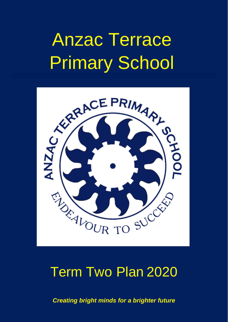# Anzac Terrace Primary School



# Term Two Plan 2020

*Creating bright minds for a brighter future*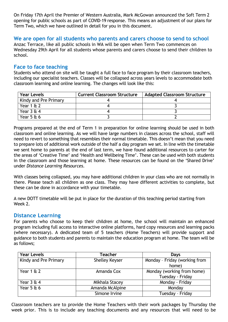On Friday 17th April the Premier of Western Australia, Mark McGowan announced the Soft Term 2 opening for public schools as part of COVID-19 response. This means an adjustment of our plans for Term Two, which we have outlined in detail for you in this document.

## **We are open for all students who parents and carers choose to send to school**

Anzac Terrace, like all public schools in WA will be open when Term Two commences on Wednesday 29th April for all students whose parents and carers choose to send their children to school.

# **Face to face teaching**

Students who attend on site will be taught a full face to face program by their classroom teachers, including our specialist teachers. Classes will be collapsed across years levels to accommodate both classroom learning and online learning. The changes will look like this:

| <b>Year Levels</b>    | <b>Current Classroom Structure</b> | <b>Adapted Classroom Structure</b> |
|-----------------------|------------------------------------|------------------------------------|
| Kindy and Pre Primary |                                    |                                    |
| Year $162$            |                                    |                                    |
| Year $364$            |                                    |                                    |
| Year $5 \& 6$         |                                    |                                    |

Programs prepared at the end of Term 1 in preparation for online learning should be used in both classroom and online learning. As we will have large numbers in classes across the school, staff will need to revert to something that resembles their normal timetable. This doesn't mean that you need to prepare lots of additional work outside of the half a day program we set. In line with the timetable we sent home to parents at the end of last term, we have found additional resources to carter for the areas of 'Creative Time' and 'Health and Wellbeing Time'. These can be used with both students in the classroom and those learning at home. These resources can be found on the 'Shared Drive' under *Distance Learning Resources*.

With classes being collapsed, you may have additional children in your class who are not normally in there. Please teach all children as one class. They may have different activities to complete, but these can be done in accordance with your timetable.

A new DOTT timetable will be put in place for the duration of this teaching period starting from Week 2.

## **Distance Learning**

For parents who choose to keep their children at home, the school will maintain an enhanced program including full access to interactive online platforms, hard copy resources and learning packs (where necessary). A dedicated team of 5 teachers (Home Teachers) will provide support and guidance to both students and parents to maintain the education program at home. The team will be as follows;

| <b>Year Levels</b>    | Teacher               | Days                          |
|-----------------------|-----------------------|-------------------------------|
| Kindy and Pre Primary | <b>Shelley Keyser</b> | Monday - Friday (working from |
|                       |                       | home)                         |
| Year $1 \& 2$         | Amanda Cox            | Monday (working from home)    |
|                       |                       | Tuesday - Friday              |
| Year $3 \notin 4$     | Mikhala Stacey        | Monday - Friday               |
| Year $5 \& 6$         | Amanda McAlpine       | Monday                        |
|                       | Simone Irvine         | Tuesday - Friday              |

Classroom teachers are to provide the Home Teachers with their work packages by Thursday the week prior. This is to include any teaching documents and any resources that will need to be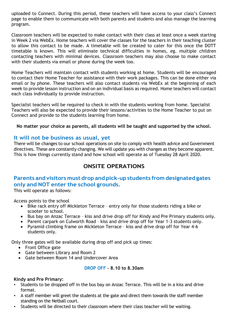uploaded to Connect. During this period, these teachers will have access to your class's Connect page to enable them to communicate with both parents and students and also manage the learning program.

Classroom teachers will be expected to make contact with their class at least once a week starting in Week 2 via WebEx. Home teachers will cover the classes for the teachers in their teaching cluster to allow this contact to be made. A timetable will be created to cater for this once the DOTT timetable is known. This will eliminate technical difficulties in homes, eg. multiple children contacting teachers with minimal devices. Classroom teachers may also choose to make contact with their students via email or phone during the week too.

Home Teachers will maintain contact with students working at home. Students will be encouraged to contact their Home Teacher for assistance with their work packages. This can be done either via email or by phone. These teachers will also contact students via WebEx at the beginning of each week to provide lesson instruction and on an individual basis as required. Home teachers will contact each class individually to provide instruction.

Specialist teachers will be required to check in with the students working from home. Specialist Teachers will also be expected to provide their lessons/activities to the Home Teacher to put on Connect and provide to the students learning from home.

**No matter your choice as parents, all students will be taught and supported by the school.**

# **It will not be business as usual, yet**

There will be changes to our school operations on site to comply with health advice and Government directives. These are constantly changing. We will update you with changes as they become apparent. This is how things currently stand and how school will operate as of Tuesday 28 April 2020.

# **ONSITE OPERATIONS**

# **Parents and visitors must drop and pick-up students from designated gates only and NOT enter the school grounds.**

This will operate as follows:

Access points to the school

- Bike rack entry off Mickleton Terrace entry only for those students riding a bike or scooter to school.
- Bus bay on Anzac Terrace kiss and drive drop off for Kindy and Pre Primary students only.
- Parent carpark on Culworth Road kiss and drive drop off for Year 1-3 students only.
- Pyramid climbing frame on Mickleton Terrace kiss and drive drop off for Year 4-6 students only.

Only three gates will be available during drop off and pick up times:

- Front Office gate
- Gate between Library and Room 2
- Gate between Room 14 and Undercover Area

#### **DROP OFF – 8.10 to 8.30am**

#### **Kindy and Pre Primary:**

- Students to be dropped off in the bus bay on Anzac Terrace. This will be in a kiss and drive format.
- A staff member will greet the students at the gate and direct them towards the staff member standing on the Netball court.
- Students will be directed to their classroom where their class teacher will be waiting.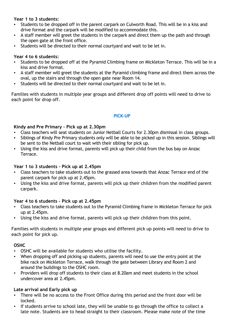#### **Year 1 to 3 students:**

- Students to be dropped off in the parent carpark on Culworth Road. This will be in a kiss and drive format and the carpark will be modified to accommodate this.
- A staff member will greet the students in the carpark and direct them up the path and through the open gate at the front office.
- Students will be directed to their normal courtyard and wait to be let in.

#### **Year 4 to 6 students:**

- Students to be dropped off at the Pyramid Climbing frame on Mickleton Terrace. This will be in a kiss and drive format.
- A staff member will greet the students at the Pyramid climbing frame and direct them across the oval, up the stairs and through the open gate near Room 14.
- Students will be directed to their normal courtyard and wait to be let in.

Families with students in multiple year groups and different drop off points will need to drive to each point for drop off.

#### **PICK-UP**

#### **Kindy and Pre Primary – Pick up at 2.30pm**

- Class teachers will seat students on Junior Netball Courts for 2.30pm dismissal in class groups.
- Siblings of Kindy Pre Primary students only will be able to be picked up in this session. Siblings will be sent to the Netball court to wait with their sibling for pick up.
- Using the kiss and drive format, parents will pick up their child from the bus bay on Anzac Terrace.

#### **Year 1 to 3 students – Pick up at 2.45pm**

- Class teachers to take students out to the grassed area towards that Anzac Terrace end of the parent carpark for pick up at 2.45pm.
- Using the kiss and drive format, parents will pick up their children from the modified parent carpark.

#### **Year 4 to 6 students – Pick up at 2.45pm**

- Class teachers to take students out to the Pyramid Climbing frame in Mickleton Terrace for pick up at 2.45pm.
- Using the kiss and drive format, parents will pick up their children from this point.

Families with students in multiple year groups and different pick up points will need to drive to each point for pick up.

#### **OSHC**

- OSHC will be available for students who utilise the facility.
- When dropping off and picking up students, parents will need to use the entry point at the bike rack on Mickleton Terrace, walk through the gate between Library and Room 2 and around the buildings to the OSHC room.
- Providers will drop off students to their class at 8.20am and meet students in the school undercover area at 2.45pm.

#### **Late arrival and Early pick up**

- There will be no access to the Front Office during this period and the front door will be locked.
- If students arrive to school late, they will be unable to go through the office to collect a late note. Students are to head straight to their classroom. Please make note of the time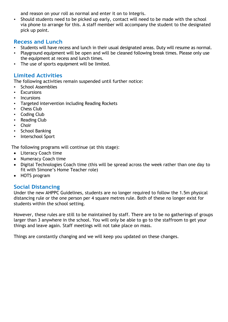and reason on your roll as normal and enter it on to Integris.

• Should students need to be picked up early, contact will need to be made with the school via phone to arrange for this. A staff member will accompany the student to the designated pick up point.

# **Recess and Lunch**

- Students will have recess and lunch in their usual designated areas. Duty will resume as normal.
- Playground equipment will be open and will be cleaned following break times. Please only use the equipment at recess and lunch times.
- The use of sports equipment will be limited.

# **Limited Activities**

The following activities remain suspended until further notice:

- School Assemblies
- Excursions
- Incursions
- Targeted intervention including Reading Rockets
- **Chess Club**
- Coding Club
- **Reading Club**
- **Choir**
- School Banking
- Interschool Sport

The following programs will continue (at this stage):

- Literacy Coach time
- Numeracy Coach time
- Digital Technologies Coach time (this will be spread across the week rather than one day to fit with Simone's Home Teacher role)
- HOTS program

# **Social Distancing**

Under the new AHPPC Guidelines, students are no longer required to follow the 1.5m physical distancing rule or the one person per 4 square metres rule. Both of these no longer exist for students within the school setting.

However, these rules are still to be maintained by staff. There are to be no gatherings of groups larger than 3 anywhere in the school. You will only be able to go to the staffroom to get your things and leave again. Staff meetings will not take place on mass.

Things are constantly changing and we will keep you updated on these changes.